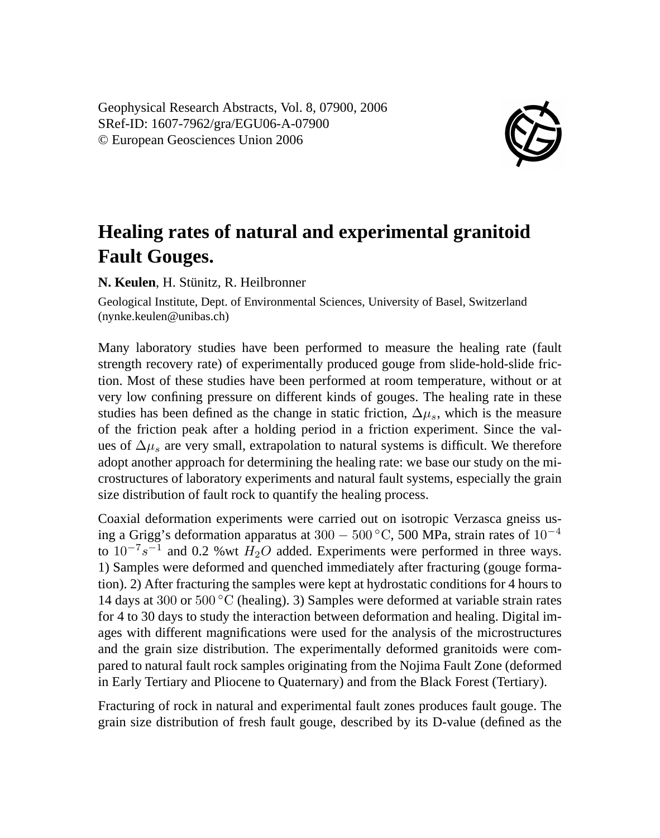Geophysical Research Abstracts, Vol. 8, 07900, 2006 SRef-ID: 1607-7962/gra/EGU06-A-07900 © European Geosciences Union 2006



## **Healing rates of natural and experimental granitoid Fault Gouges.**

**N. Keulen**, H. Stünitz, R. Heilbronner

Geological Institute, Dept. of Environmental Sciences, University of Basel, Switzerland (nynke.keulen@unibas.ch)

Many laboratory studies have been performed to measure the healing rate (fault strength recovery rate) of experimentally produced gouge from slide-hold-slide friction. Most of these studies have been performed at room temperature, without or at very low confining pressure on different kinds of gouges. The healing rate in these studies has been defined as the change in static friction,  $\Delta \mu_s$ , which is the measure of the friction peak after a holding period in a friction experiment. Since the values of  $\Delta \mu_s$  are very small, extrapolation to natural systems is difficult. We therefore adopt another approach for determining the healing rate: we base our study on the microstructures of laboratory experiments and natural fault systems, especially the grain size distribution of fault rock to quantify the healing process.

Coaxial deformation experiments were carried out on isotropic Verzasca gneiss using a Grigg's deformation apparatus at 300 − 500 °C, 500 MPa, strain rates of  $10^{-4}$ to  $10^{-7} s^{-1}$  and 0.2 %wt  $H_2O$  added. Experiments were performed in three ways. 1) Samples were deformed and quenched immediately after fracturing (gouge formation). 2) After fracturing the samples were kept at hydrostatic conditions for 4 hours to 14 days at 300 or  $500\degree$ C (healing). 3) Samples were deformed at variable strain rates for 4 to 30 days to study the interaction between deformation and healing. Digital images with different magnifications were used for the analysis of the microstructures and the grain size distribution. The experimentally deformed granitoids were compared to natural fault rock samples originating from the Nojima Fault Zone (deformed in Early Tertiary and Pliocene to Quaternary) and from the Black Forest (Tertiary).

Fracturing of rock in natural and experimental fault zones produces fault gouge. The grain size distribution of fresh fault gouge, described by its D-value (defined as the